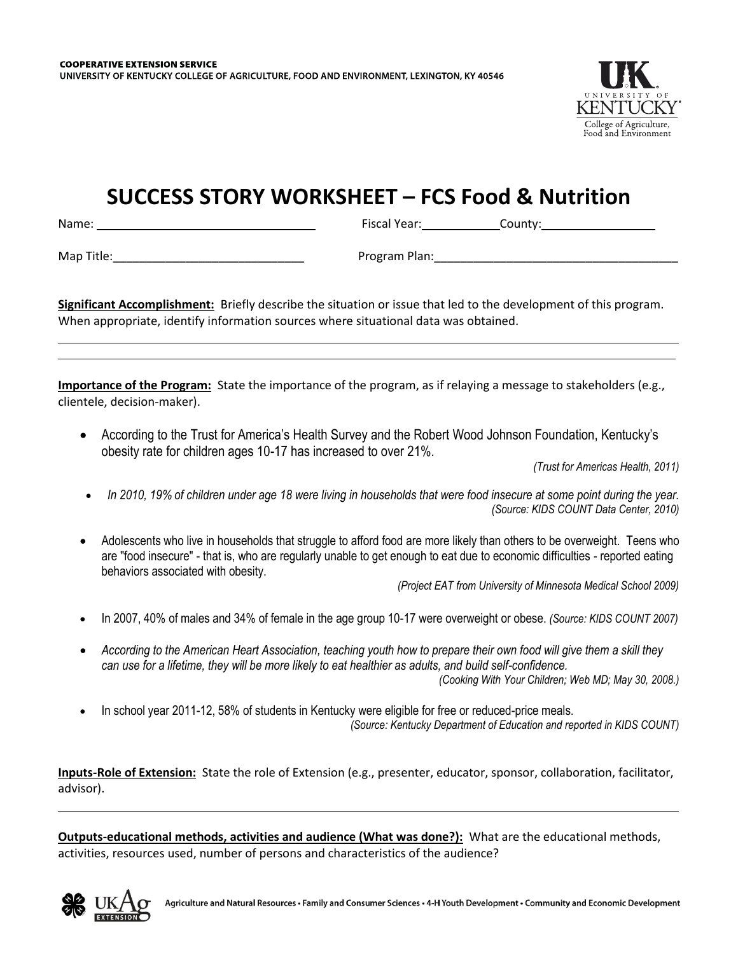

## **SUCCESS STORY WORKSHEET – FCS Food & Nutrition**

Name: Fiscal Year: County:

Map Title:\_\_\_\_\_\_\_\_\_\_\_\_\_\_\_\_\_\_\_\_\_\_\_\_\_\_\_\_\_ Program Plan:\_\_\_\_\_\_\_\_\_\_\_\_\_\_\_\_\_\_\_\_\_\_\_\_\_\_\_\_\_\_\_\_\_\_\_\_\_

**Significant Accomplishment:** Briefly describe the situation or issue that led to the development of this program. When appropriate, identify information sources where situational data was obtained.

**Importance of the Program:** State the importance of the program, as if relaying a message to stakeholders (e.g., clientele, decision-maker).

 According to the Trust for America's Health Survey and the Robert Wood Johnson Foundation, Kentucky's obesity rate for children ages 10-17 has increased to over 21%.

*(Trust for Americas Health, 2011)*

- *In 2010, 19% of children under age 18 were living in households that were food insecure at some point during the year. (Source: KIDS COUNT Data Center, 2010)*
- Adolescents who live in households that struggle to afford food are more likely than others to be overweight. Teens who are "food insecure" - that is, who are regularly unable to get enough to eat due to economic difficulties - reported eating behaviors associated with obesity.

*(Project EAT from University of Minnesota Medical School 2009)*

- In 2007, 40% of males and 34% of female in the age group 10-17 were overweight or obese. *(Source: KIDS COUNT 2007)*
- *According to the American Heart Association, teaching youth how to prepare their own food will give them a skill they can use for a lifetime, they will be more likely to eat healthier as adults, and build self-confidence. (Cooking With Your Children; Web MD; May 30, 2008.)*
- In school year 2011-12, 58% of students in Kentucky were eligible for free or reduced-price meals. *(Source: Kentucky Department of Education and reported in KIDS COUNT)*

**Inputs-Role of Extension:** State the role of Extension (e.g., presenter, educator, sponsor, collaboration, facilitator, advisor).

**Outputs-educational methods, activities and audience (What was done?):** What are the educational methods, activities, resources used, number of persons and characteristics of the audience?